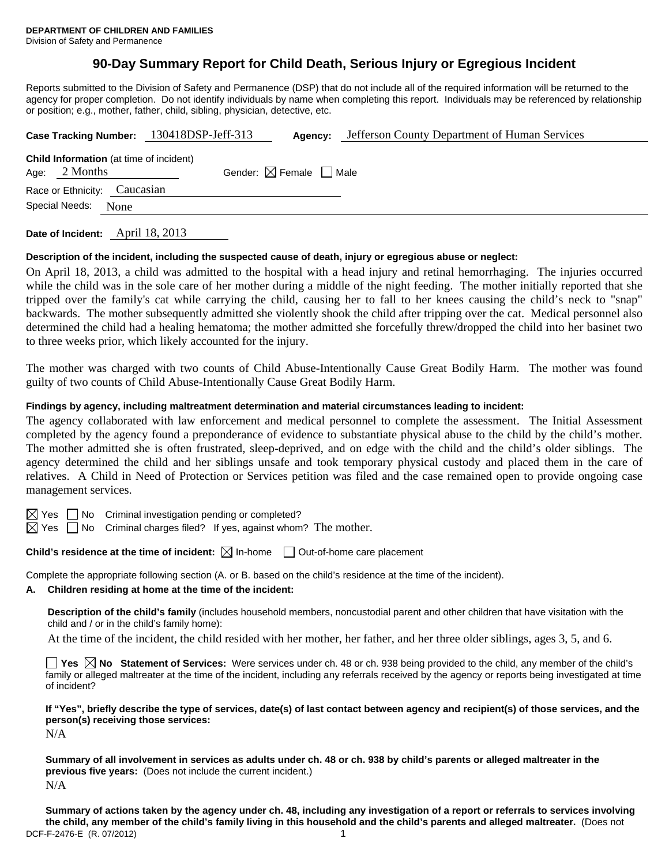# **90-Day Summary Report for Child Death, Serious Injury or Egregious Incident**

Reports submitted to the Division of Safety and Permanence (DSP) that do not include all of the required information will be returned to the agency for proper completion. Do not identify individuals by name when completing this report. Individuals may be referenced by relationship or position; e.g., mother, father, child, sibling, physician, detective, etc.

| Case Tracking Number: 130418DSP-Jeff-313                   | Agency:                                | Jefferson County Department of Human Services |
|------------------------------------------------------------|----------------------------------------|-----------------------------------------------|
| Child Information (at time of incident)<br>Age: $2$ Months | Gender: $\boxtimes$ Female $\Box$ Male |                                               |
| Race or Ethnicity: Caucasian                               |                                        |                                               |
| Special Needs: None                                        |                                        |                                               |
|                                                            |                                        |                                               |

**Date of Incident:** April 18, 2013

### **Description of the incident, including the suspected cause of death, injury or egregious abuse or neglect:**

On April 18, 2013, a child was admitted to the hospital with a head injury and retinal hemorrhaging. The injuries occurred while the child was in the sole care of her mother during a middle of the night feeding. The mother initially reported that she tripped over the family's cat while carrying the child, causing her to fall to her knees causing the child's neck to "snap" backwards. The mother subsequently admitted she violently shook the child after tripping over the cat. Medical personnel also determined the child had a healing hematoma; the mother admitted she forcefully threw/dropped the child into her basinet two to three weeks prior, which likely accounted for the injury.

The mother was charged with two counts of Child Abuse-Intentionally Cause Great Bodily Harm. The mother was found guilty of two counts of Child Abuse-Intentionally Cause Great Bodily Harm.

### **Findings by agency, including maltreatment determination and material circumstances leading to incident:**

The agency collaborated with law enforcement and medical personnel to complete the assessment. The Initial Assessment completed by the agency found a preponderance of evidence to substantiate physical abuse to the child by the child's mother. The mother admitted she is often frustrated, sleep-deprived, and on edge with the child and the child's older siblings. The agency determined the child and her siblings unsafe and took temporary physical custody and placed them in the care of relatives. A Child in Need of Protection or Services petition was filed and the case remained open to provide ongoing case management services.

 $\boxtimes$  Yes  $\Box$  No Criminal investigation pending or completed?

 $\boxtimes$  Yes  $\Box$  No Criminal charges filed? If yes, against whom? The mother.

**Child's residence at the time of incident:** ⊠ In-home □ Out-of-home care placement

Complete the appropriate following section (A. or B. based on the child's residence at the time of the incident).

#### **A. Children residing at home at the time of the incident:**

**Description of the child's family** (includes household members, noncustodial parent and other children that have visitation with the child and / or in the child's family home):

At the time of the incident, the child resided with her mother, her father, and her three older siblings, ages 3, 5, and 6.

**Yes No Statement of Services:** Were services under ch. 48 or ch. 938 being provided to the child, any member of the child's family or alleged maltreater at the time of the incident, including any referrals received by the agency or reports being investigated at time of incident?

**If "Yes", briefly describe the type of services, date(s) of last contact between agency and recipient(s) of those services, and the person(s) receiving those services:** 

N/A

**Summary of all involvement in services as adults under ch. 48 or ch. 938 by child's parents or alleged maltreater in the previous five years:** (Does not include the current incident.) N/A

DCF-F-2476-E (R. 07/2012) 1 **Summary of actions taken by the agency under ch. 48, including any investigation of a report or referrals to services involving the child, any member of the child's family living in this household and the child's parents and alleged maltreater.** (Does not